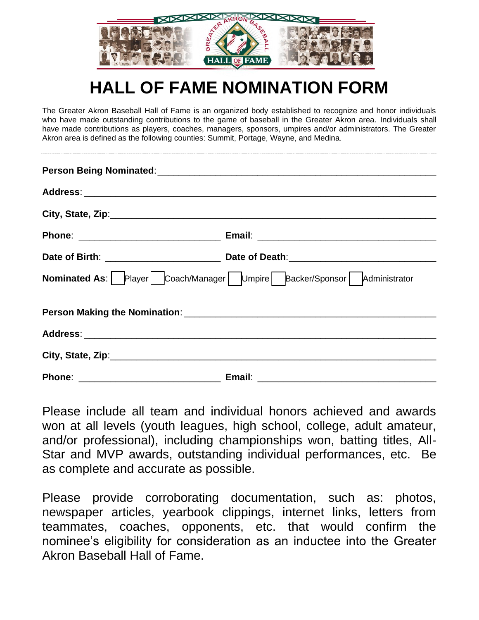

# **HALL OF FAME NOMINATION FORM**

The Greater Akron Baseball Hall of Fame is an organized body established to recognize and honor individuals who have made outstanding contributions to the game of baseball in the Greater Akron area. Individuals shall have made contributions as players, coaches, managers, sponsors, umpires and/or administrators. The Greater Akron area is defined as the following counties: Summit, Portage, Wayne, and Medina.

| <b>Nominated As:</b>   Player   Coach/Manager   Umpire   Backer/Sponsor   Administrator |  |
|-----------------------------------------------------------------------------------------|--|
|                                                                                         |  |
|                                                                                         |  |
|                                                                                         |  |
|                                                                                         |  |

Please include all team and individual honors achieved and awards won at all levels (youth leagues, high school, college, adult amateur, and/or professional), including championships won, batting titles, All-Star and MVP awards, outstanding individual performances, etc. Be as complete and accurate as possible.

Please provide corroborating documentation, such as: photos, newspaper articles, yearbook clippings, internet links, letters from teammates, coaches, opponents, etc. that would confirm the nominee's eligibility for consideration as an inductee into the Greater Akron Baseball Hall of Fame.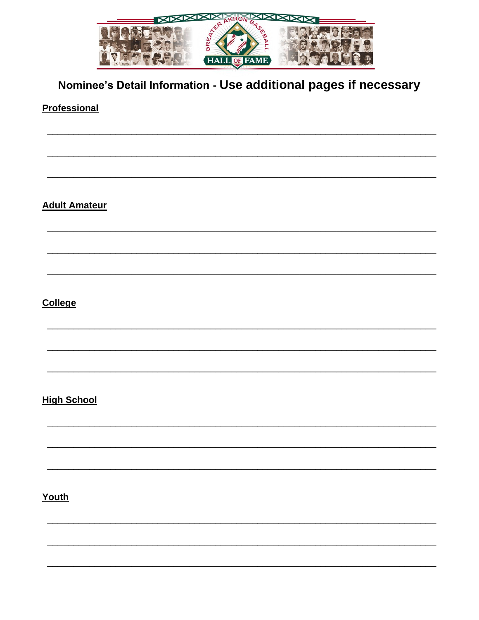

# Nominee's Detail Information - Use additional pages if necessary

#### **Professional**

**Adult Amateur** 

## **College**

#### **High School**

## Youth